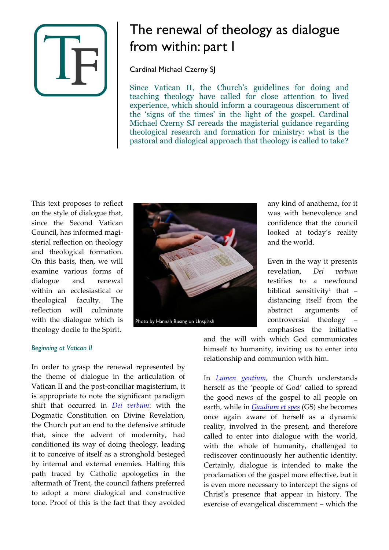

# The renewal of theology as dialogue from within: part I

Cardinal Michael Czerny SJ

Since Vatican II, the Church's guidelines for doing and teaching theology have called for close attention to lived experience, which should inform a courageous discernment of the 'signs of the times' in the light of the gospel. Cardinal Michael Czerny SJ rereads the magisterial guidance regarding theological research and formation for ministry: what is the pastoral and dialogical approach that theology is called to take?

This text proposes to reflect on the style of dialogue that, since the Second Vatican Council, has informed magisterial reflection on theology and theological formation. On this basis, then, we will examine various forms of dialogue and renewal within an ecclesiastical or theological faculty. The reflection will culminate with the dialogue which is theology docile to the Spirit.



any kind of anathema, for it was with benevolence and confidence that the council looked at today's reality and the world.

Even in the way it presents revelation, *Dei verbum* testifies to a newfound biblical sensitivity<sup>1</sup> that – distancing itself from the abstract arguments of controversial theology – emphasises the initiative

## *Beginning at Vatican II*

In order to grasp the renewal represented by the theme of dialogue in the articulation of Vatican II and the post-conciliar magisterium, it is appropriate to note the significant paradigm shift that occurred in *[Dei verbum](https://www.vatican.va/archive/hist_councils/ii_vatican_council/documents/vat-ii_const_19651118_dei-verbum_en.html)*: with the Dogmatic Constitution on Divine Revelation, the Church put an end to the defensive attitude that, since the advent of modernity, had conditioned its way of doing theology, leading it to conceive of itself as a stronghold besieged by internal and external enemies. Halting this path traced by Catholic apologetics in the aftermath of Trent, the council fathers preferred to adopt a more dialogical and constructive tone. Proof of this is the fact that they avoided and the will with which God communicates himself to humanity, inviting us to enter into relationship and communion with him.

In *[Lumen gentium](https://www.vatican.va/archive/hist_councils/ii_vatican_council/documents/vat-ii_const_19641121_lumen-gentium_en.html)*, the Church understands herself as the 'people of God' called to spread the good news of the gospel to all people on earth, while in *[Gaudium et spes](https://www.vatican.va/archive/hist_councils/ii_vatican_council/documents/vat-ii_const_19651207_gaudium-et-spes_en.html)* (GS) she becomes once again aware of herself as a dynamic reality, involved in the present, and therefore called to enter into dialogue with the world, with the whole of humanity, challenged to rediscover continuously her authentic identity. Certainly, dialogue is intended to make the proclamation of the gospel more effective, but it is even more necessary to intercept the signs of Christ's presence that appear in history. The exercise of evangelical discernment – which the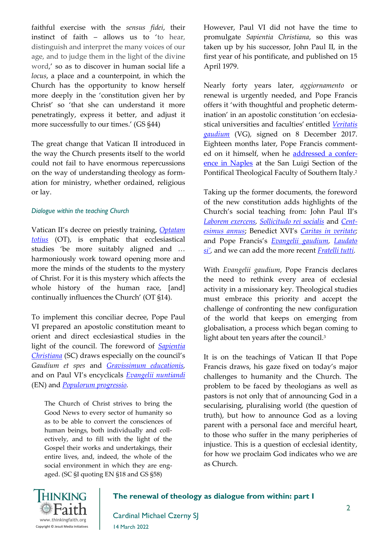faithful exercise with the *sensus fidei*, their instinct of faith – allows us to 'to hear, distinguish and interpret the many voices of our age, and to judge them in the light of the divine word,' so as to discover in human social life a *locus*, a place and a counterpoint, in which the Church has the opportunity to know herself more deeply in the 'constitution given her by Christ' so 'that she can understand it more penetratingly, express it better, and adjust it more successfully to our times.' (GS §44)

The great change that Vatican II introduced in the way the Church presents itself to the world could not fail to have enormous repercussions on the way of understanding theology as formation for ministry, whether ordained, religious or lay.

#### *Dialogue within the teaching Church*

Vatican II's decree on priestly training, *[Optatam](https://www.vatican.va/archive/hist_councils/ii_vatican_council/documents/vat-ii_decree_19651028_optatam-totius_en.html)  [totius](https://www.vatican.va/archive/hist_councils/ii_vatican_council/documents/vat-ii_decree_19651028_optatam-totius_en.html)* (OT), is emphatic that ecclesiastical studies 'be more suitably aligned and … harmoniously work toward opening more and more the minds of the students to the mystery of Christ. For it is this mystery which affects the whole history of the human race, [and] continually influences the Church' (OT §14).

To implement this conciliar decree, Pope Paul VI prepared an apostolic constitution meant to orient and direct ecclesiastical studies in the light of the council. The foreword of *[Sapientia](http://www.vatican.va/content/john-paul-ii/en/apost_constitutions/documents/hf_jp-ii_apc_15041979_sapientia-christiana.html)  [Christiana](http://www.vatican.va/content/john-paul-ii/en/apost_constitutions/documents/hf_jp-ii_apc_15041979_sapientia-christiana.html)* (SC) draws especially on the council's *Gaudium et spes* and *[Gravissimum educationis,](https://www.vatican.va/archive/hist_councils/ii_vatican_council/documents/vat-ii_decl_19651028_gravissimum-educationis_en.html)*  and on Paul VI's encyclicals *[Evangelii nuntiandi](http://www.vatican.va/content/paul-vi/en/apost_exhortations/documents/hf_p-vi_exh_19751208_evangelii-nuntiandi.html)* (EN) and *[Populorum progressio.](http://www.vatican.va/content/paul-vi/en/encyclicals/documents/hf_p-vi_enc_26031967_populorum.html)* 

The Church of Christ strives to bring the Good News to every sector of humanity so as to be able to convert the consciences of human beings, both individually and collectively, and to fill with the light of the Gospel their works and undertakings, their entire lives, and, indeed, the whole of the social environment in which they are engaged. (SC §I quoting EN §18 and GS §58)

However, Paul VI did not have the time to promulgate *Sapientia Christiana*, so this was taken up by his successor, John Paul II, in the first year of his pontificate, and published on 15 April 1979.

Nearly forty years later, *aggiornamento* or renewal is urgently needed, and Pope Francis offers it 'with thoughtful and prophetic determination' in an apostolic constitution 'on ecclesiastical universities and faculties' entitled *[Veritatis](https://press.vatican.va/content/salastampa/en/bollettino/pubblico/2018/01/29/180129c.html)  [gaudium](https://press.vatican.va/content/salastampa/en/bollettino/pubblico/2018/01/29/180129c.html)* (VG)*,* signed on 8 December 2017. Eighteen months later, Pope Francis commented on it himself, when he [addressed a confer](https://www.vatican.va/content/francesco/en/speeches/2019/june/documents/papa-francesco_20190621_teologia-napoli.html)[ence in Naples](https://www.vatican.va/content/francesco/en/speeches/2019/june/documents/papa-francesco_20190621_teologia-napoli.html) at the San Luigi Section of the Pontifical Theological Faculty of Southern Italy.<sup>2</sup>

Taking up the former documents*,* the foreword of the new constitution adds highlights of the Church's social teaching from: John Paul II's *[Laborem exercens,](http://www.vatican.va/content/john-paul-ii/en/encyclicals/documents/hf_jp-ii_enc_14091981_laborem-exercens.html) [Sollicitudo rei socialis](http://www.vatican.va/content/john-paul-ii/en/encyclicals/documents/hf_jp-ii_enc_30121987_sollicitudo-rei-socialis.html)* and *[Cent](http://www.vatican.va/content/john-paul-ii/en/encyclicals/documents/hf_jp-ii_enc_01051991_centesimus-annus.html)[esimus annus](http://www.vatican.va/content/john-paul-ii/en/encyclicals/documents/hf_jp-ii_enc_01051991_centesimus-annus.html)*; Benedict XVI's *[Caritas in veritate;](http://www.vatican.va/content/benedict-xvi/en/encyclicals/documents/hf_ben-xvi_enc_20090629_caritas-in-veritate.html)* and Pope Francis's *[Evangelii gaudium,](https://www.vatican.va/content/francesco/en/apost_exhortations/documents/papa-francesco_esortazione-ap_20131124_evangelii-gaudium.html) [Laudato](http://www.vatican.va/content/francesco/en/encyclicals/documents/papa-francesco_20150524_enciclica-laudato-si.html)  [si'](http://www.vatican.va/content/francesco/en/encyclicals/documents/papa-francesco_20150524_enciclica-laudato-si.html),* and we can add the more recent *[Fratelli tutti.](https://www.vatican.va/content/francesco/en/encyclicals/documents/papa-francesco_20201003_enciclica-fratelli-tutti.html)*

With *Evangelii gaudium*, Pope Francis declares the need to rethink every area of ecclesial activity in a missionary key. Theological studies must embrace this priority and accept the challenge of confronting the new configuration of the world that keeps on emerging from globalisation, a process which began coming to light about ten years after the council.<sup>3</sup>

It is on the teachings of Vatican II that Pope Francis draws, his gaze fixed on today's major challenges to humanity and the Church. The problem to be faced by theologians as well as pastors is not only that of announcing God in a secularising, pluralising world (the question of truth), but how to announce God as a loving parent with a personal face and merciful heart, to those who suffer in the many peripheries of injustice. This is a question of ecclesial identity, for how we proclaim God indicates who we are as Church.



#### **The renewal of theology as dialogue from within: part I**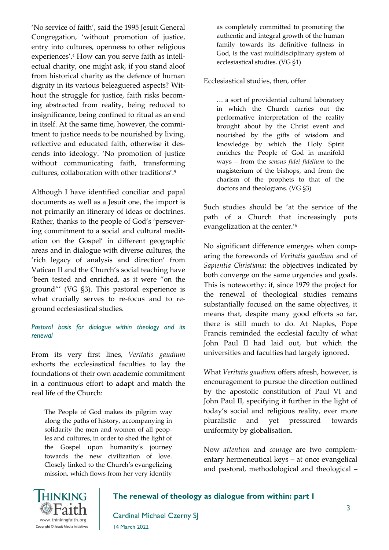'No service of faith', said the 1995 Jesuit General Congregation, 'without promotion of justice, entry into cultures, openness to other religious experiences'.<sup>4</sup> How can you serve faith as intellectual charity, one might ask, if you stand aloof from historical charity as the defence of human dignity in its various beleaguered aspects? Without the struggle for justice, faith risks becoming abstracted from reality, being reduced to insignificance, being confined to ritual as an end in itself. At the same time, however, the commitment to justice needs to be nourished by living, reflective and educated faith, otherwise it descends into ideology. 'No promotion of justice without communicating faith, transforming cultures, collaboration with other traditions'.<sup>5</sup>

Although I have identified conciliar and papal documents as well as a Jesuit one, the import is not primarily an itinerary of ideas or doctrines. Rather, thanks to the people of God's 'persevering commitment to a social and cultural meditation on the Gospel' in different geographic areas and in dialogue with diverse cultures, the 'rich legacy of analysis and direction' from Vatican II and the Church's social teaching have 'been tested and enriched, as it were "on the ground"' (VG §3). This pastoral experience is what crucially serves to re-focus and to reground ecclesiastical studies.

#### *Pastoral basis for dialogue within theology and its renewal*

From its very first lines, *Veritatis gaudium* exhorts the ecclesiastical faculties to lay the foundations of their own academic commitment in a continuous effort to adapt and match the real life of the Church:

The People of God makes its pilgrim way along the paths of history, accompanying in solidarity the men and women of all peoples and cultures, in order to shed the light of the Gospel upon humanity's journey towards the new civilization of love. Closely linked to the Church's evangelizing mission, which flows from her very identity as completely committed to promoting the authentic and integral growth of the human family towards its definitive fullness in God, is the vast multidisciplinary system of ecclesiastical studies. (VG §1)

Ecclesiastical studies, then, offer

… a sort of providential cultural laboratory in which the Church carries out the performative interpretation of the reality brought about by the Christ event and nourished by the gifts of wisdom and knowledge by which the Holy Spirit enriches the People of God in manifold ways – from the *sensus fidei fidelium* to the magisterium of the bishops, and from the charism of the prophets to that of the doctors and theologians. (VG §3)

Such studies should be 'at the service of the path of a Church that increasingly puts evangelization at the center.'<sup>6</sup>

No significant difference emerges when comparing the forewords of *Veritatis gaudium* and of *Sapientia Christiana*: the objectives indicated by both converge on the same urgencies and goals. This is noteworthy: if, since 1979 the project for the renewal of theological studies remains substantially focused on the same objectives, it means that, despite many good efforts so far, there is still much to do. At Naples, Pope Francis reminded the ecclesial faculty of what John Paul II had laid out, but which the universities and faculties had largely ignored.

What *Veritatis gaudium* offers afresh, however, is encouragement to pursue the direction outlined by the apostolic constitution of Paul VI and John Paul II, specifying it further in the light of today's social and religious reality, ever more pluralistic and yet pressured towards uniformity by globalisation.

Now *attention* and *courage* are two complementary hermeneutical keys – at once evangelical and pastoral, methodological and theological –



#### **The renewal of theology as dialogue from within: part I**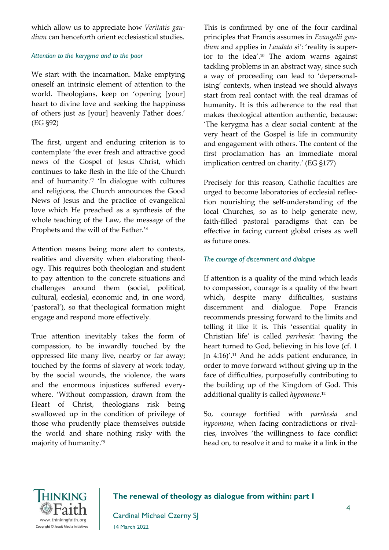which allow us to appreciate how *Veritatis gaudium* can henceforth orient ecclesiastical studies.

### *Attention to the kerygma and to the poor*

We start with the incarnation. Make emptying oneself an intrinsic element of attention to the world. Theologians, keep on 'opening [your] heart to divine love and seeking the happiness of others just as [your] heavenly Father does.' (EG §92)

The first, urgent and enduring criterion is to contemplate 'the ever fresh and attractive good news of the Gospel of Jesus Christ, which continues to take flesh in the life of the Church and of humanity.'<sup>7</sup> 'In dialogue with cultures and religions, the Church announces the Good News of Jesus and the practice of evangelical love which He preached as a synthesis of the whole teaching of the Law, the message of the Prophets and the will of the Father.'<sup>8</sup>

Attention means being more alert to contexts, realities and diversity when elaborating theology. This requires both theologian and student to pay attention to the concrete situations and challenges around them (social, political, cultural, ecclesial, economic and, in one word, 'pastoral'), so that theological formation might engage and respond more effectively.

True attention inevitably takes the form of compassion, to be inwardly touched by the oppressed life many live, nearby or far away; touched by the forms of slavery at work today, by the social wounds, the violence, the wars and the enormous injustices suffered everywhere. 'Without compassion, drawn from the Heart of Christ, theologians risk being swallowed up in the condition of privilege of those who prudently place themselves outside the world and share nothing risky with the majority of humanity.'<sup>9</sup>

This is confirmed by one of the four cardinal principles that Francis assumes in *Evangelii gaudium* and applies in *Laudato si'*: 'reality is superior to the idea'.<sup>10</sup> The axiom warns against tackling problems in an abstract way, since such a way of proceeding can lead to 'depersonalising' contexts, when instead we should always start from real contact with the real dramas of humanity. It is this adherence to the real that makes theological attention authentic, because: 'The kerygma has a clear social content: at the very heart of the Gospel is life in community and engagement with others. The content of the first proclamation has an immediate moral implication centred on charity.' (EG §177)

Precisely for this reason, Catholic faculties are urged to become laboratories of ecclesial reflection nourishing the self-understanding of the local Churches, so as to help generate new, faith-filled pastoral paradigms that can be effective in facing current global crises as well as future ones.

## *The courage of discernment and dialogue*

If attention is a quality of the mind which leads to compassion, courage is a quality of the heart which, despite many difficulties, sustains discernment and dialogue. Pope Francis recommends pressing forward to the limits and telling it like it is. This 'essential quality in Christian life' is called *parrhesia*: 'having the heart turned to God, believing in his love (cf. 1 Jn 4:16)'.<sup>11</sup> And he adds patient endurance, in order to move forward without giving up in the face of difficulties, purposefully contributing to the building up of the Kingdom of God. This additional quality is called *hypomone.*<sup>12</sup>

So, courage fortified with *parrhesia* and *hypomone,* when facing contradictions or rivalries, involves 'the willingness to face conflict head on, to resolve it and to make it a link in the



# **The renewal of theology as dialogue from within: part I**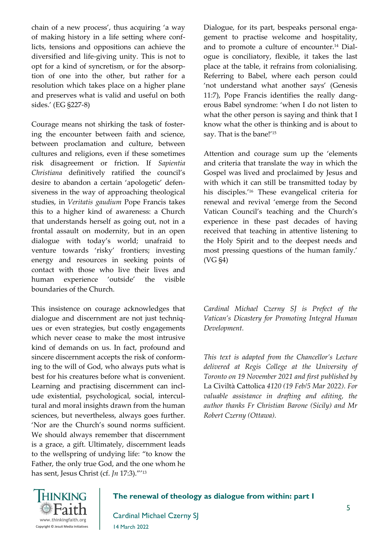chain of a new process', thus acquiring 'a way of making history in a life setting where conflicts, tensions and oppositions can achieve the diversified and life-giving unity. This is not to opt for a kind of syncretism, or for the absorption of one into the other, but rather for a resolution which takes place on a higher plane and preserves what is valid and useful on both sides.' (EG §227-8)

Courage means not shirking the task of fostering the encounter between faith and science, between proclamation and culture, between cultures and religions, even if these sometimes risk disagreement or friction. If *Sapientia Christiana* definitively ratified the council's desire to abandon a certain 'apologetic' defensiveness in the way of approaching theological studies, in *Veritatis gaudium* Pope Francis takes this to a higher kind of awareness: a Church that understands herself as going out, not in a frontal assault on modernity, but in an open dialogue with today's world; unafraid to venture towards 'risky' frontiers; investing energy and resources in seeking points of contact with those who live their lives and human experience 'outside' the visible boundaries of the Church.

This insistence on courage acknowledges that dialogue and discernment are not just techniques or even strategies, but costly engagements which never cease to make the most intrusive kind of demands on us. In fact, profound and sincere discernment accepts the risk of conforming to the will of God, who always puts what is best for his creatures before what is convenient. Learning and practising discernment can include existential, psychological, social, intercultural and moral insights drawn from the human sciences, but nevertheless, always goes further. 'Nor are the Church's sound norms sufficient. We should always remember that discernment is a grace, a gift. Ultimately, discernment leads to the wellspring of undying life: "to know the Father, the only true God, and the one whom he has sent, Jesus Christ (cf. *Jn* 17:3)."'<sup>13</sup>

Dialogue, for its part, bespeaks personal engagement to practise welcome and hospitality, and to promote a culture of encounter.<sup>14</sup> Dialogue is conciliatory, flexible, it takes the last place at the table, it refrains from colonialising. Referring to Babel, where each person could 'not understand what another says' (Genesis 11:7), Pope Francis identifies the really dangerous Babel syndrome: 'when I do not listen to what the other person is saying and think that I know what the other is thinking and is about to say. That is the bane!'<sup>15</sup>

Attention and courage sum up the 'elements and criteria that translate the way in which the Gospel was lived and proclaimed by Jesus and with which it can still be transmitted today by his disciples.'<sup>16</sup> These evangelical criteria for renewal and revival 'emerge from the Second Vatican Council's teaching and the Church's experience in these past decades of having received that teaching in attentive listening to the Holy Spirit and to the deepest needs and most pressing questions of the human family.' (VG §4)

*Cardinal Michael Czerny SJ is Prefect of the Vatican's Dicastery for Promoting Integral Human Development.* 

*This text is adapted from the Chancellor's Lecture delivered at Regis College at the University of Toronto on 19 November 2021 and first published by*  La Civiltà Cattolica *4120 (19 Feb/5 Mar 2022). For valuable assistance in drafting and editing, the author thanks Fr Christian Barone (Sicily) and Mr Robert Czerny (Ottawa).*



## **The renewal of theology as dialogue from within: part I**